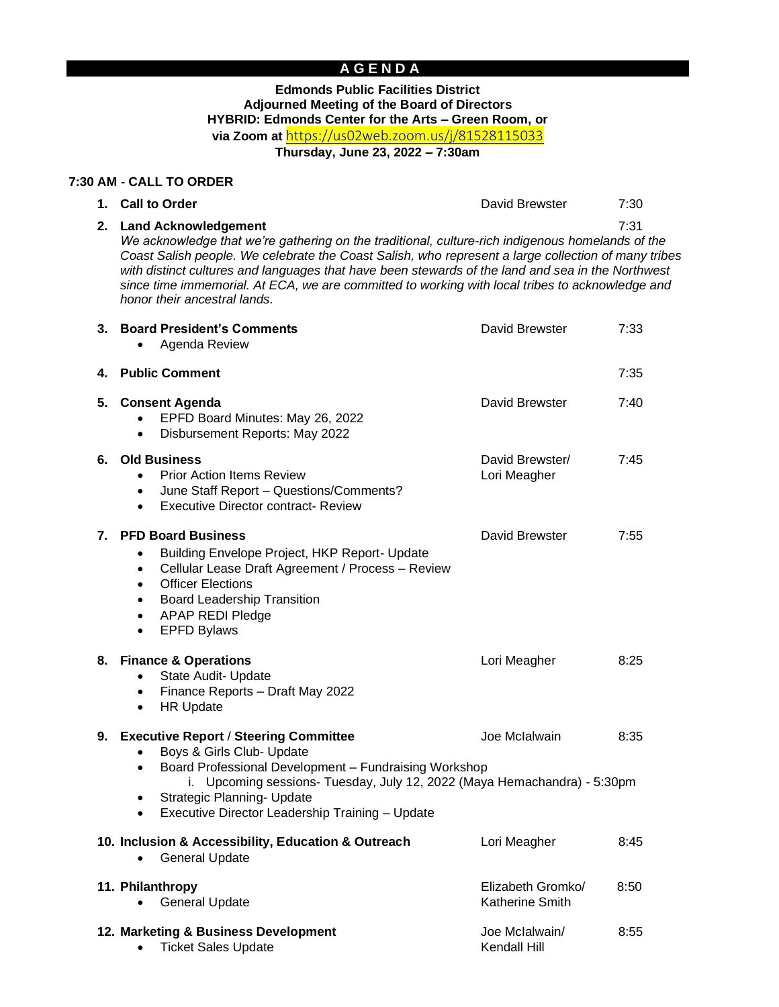# **A G E N D A**

#### **Edmonds Public Facilities District Adjourned Meeting of the Board of Directors HYBRID: Edmonds Center for the Arts – Green Room, or via Zoom at** <https://us02web.zoom.us/j/81528115033> **Thursday, June 23, 2022 – 7:30am**

**7:30 AM - CALL TO ORDER**

| 1. Call to Order                                                                                 | David Brewster | 7:30 |
|--------------------------------------------------------------------------------------------------|----------------|------|
| 2. Land Acknowledgement                                                                          |                | 7.31 |
| We acknowledge that we're gathering on the traditional, culture-rich indigenous homelands of the |                |      |

*Coast Salish people. We celebrate the Coast Salish, who represent a large collection of many tribes*  with distinct cultures and languages that have been stewards of the land and sea in the Northwest *since time immemorial. At ECA, we are committed to working with local tribes to acknowledge and honor their ancestral lands.*

| 3. | <b>Board President's Comments</b><br>Agenda Review                                                                                                                                                                                                                                                                                 | David Brewster                       | 7:33 |
|----|------------------------------------------------------------------------------------------------------------------------------------------------------------------------------------------------------------------------------------------------------------------------------------------------------------------------------------|--------------------------------------|------|
| 4. | <b>Public Comment</b>                                                                                                                                                                                                                                                                                                              |                                      | 7:35 |
| 5. | <b>Consent Agenda</b><br>EPFD Board Minutes: May 26, 2022<br>Disbursement Reports: May 2022<br>$\bullet$                                                                                                                                                                                                                           | David Brewster                       | 7:40 |
|    | 6. Old Business<br><b>Prior Action Items Review</b><br>$\bullet$<br>June Staff Report - Questions/Comments?<br>$\bullet$<br><b>Executive Director contract- Review</b><br>$\bullet$                                                                                                                                                | David Brewster/<br>Lori Meagher      | 7:45 |
|    | 7. PFD Board Business<br>Building Envelope Project, HKP Report- Update<br>$\bullet$<br>Cellular Lease Draft Agreement / Process - Review<br>$\bullet$<br><b>Officer Elections</b><br>$\bullet$<br><b>Board Leadership Transition</b><br>$\bullet$<br><b>APAP REDI Pledge</b><br>$\bullet$<br><b>EPFD Bylaws</b><br>$\bullet$       | David Brewster                       | 7:55 |
|    | 8. Finance & Operations<br>State Audit- Update<br>$\bullet$<br>Finance Reports - Draft May 2022<br>$\bullet$<br><b>HR Update</b><br>$\bullet$                                                                                                                                                                                      | Lori Meagher                         | 8:25 |
|    | 9. Executive Report / Steering Committee<br>Boys & Girls Club- Update<br>Board Professional Development - Fundraising Workshop<br>$\bullet$<br>i. Upcoming sessions- Tuesday, July 12, 2022 (Maya Hemachandra) - 5:30pm<br>Strategic Planning- Update<br>$\bullet$<br>Executive Director Leadership Training - Update<br>$\bullet$ | Joe Mclalwain                        | 8:35 |
|    | 10. Inclusion & Accessibility, Education & Outreach<br><b>General Update</b><br>$\bullet$                                                                                                                                                                                                                                          | Lori Meagher                         | 8:45 |
|    | 11. Philanthropy<br><b>General Update</b>                                                                                                                                                                                                                                                                                          | Elizabeth Gromko/<br>Katherine Smith | 8:50 |
|    | 12. Marketing & Business Development<br><b>Ticket Sales Update</b><br>$\bullet$                                                                                                                                                                                                                                                    | Joe Mclalwain/<br>Kendall Hill       | 8:55 |